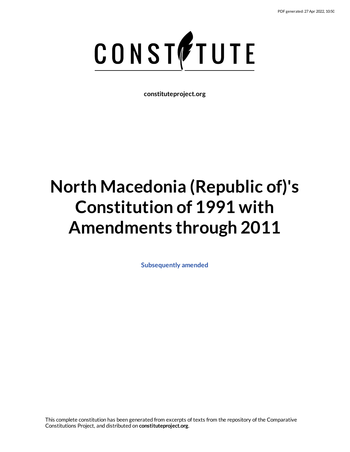

**constituteproject.org**

# **North Macedonia (Republic of)'s Constitution of 1991 with Amendments through 2011**

**[Subsequently](https://www.constituteproject.org/Europe/Macedonia_2011?lang=en) amended**

This complete constitution has been generated from excerpts of texts from the repository of the Comparative Constitutions Project, and distributed on **constituteproject.org**.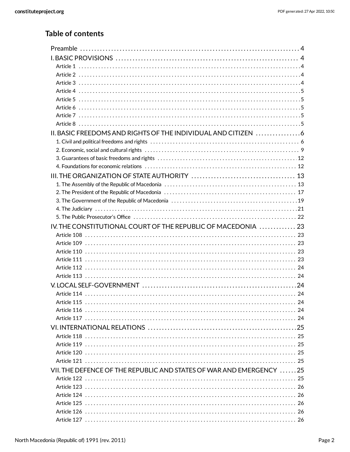## Table of contents

| II. BASIC FREEDOMS AND RIGHTS OF THE INDIVIDUAL AND CITIZEN 6       |  |
|---------------------------------------------------------------------|--|
|                                                                     |  |
|                                                                     |  |
|                                                                     |  |
|                                                                     |  |
|                                                                     |  |
|                                                                     |  |
|                                                                     |  |
|                                                                     |  |
|                                                                     |  |
|                                                                     |  |
| IV. THE CONSTITUTIONAL COURT OF THE REPUBLIC OF MACEDONIA  23       |  |
|                                                                     |  |
|                                                                     |  |
|                                                                     |  |
|                                                                     |  |
|                                                                     |  |
|                                                                     |  |
|                                                                     |  |
|                                                                     |  |
|                                                                     |  |
|                                                                     |  |
|                                                                     |  |
|                                                                     |  |
|                                                                     |  |
|                                                                     |  |
|                                                                     |  |
|                                                                     |  |
| VII. THE DEFENCE OF THE REPUBLIC AND STATES OF WAR AND EMERGENCY 25 |  |
|                                                                     |  |
|                                                                     |  |
|                                                                     |  |
|                                                                     |  |
|                                                                     |  |
|                                                                     |  |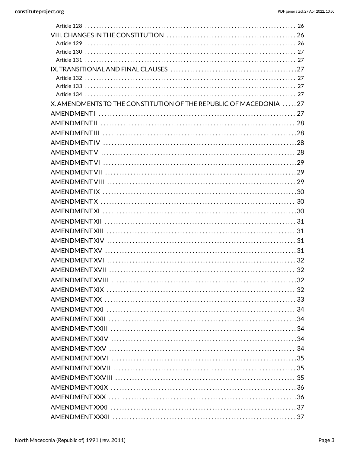| X. AMENDMENTS TO THE CONSTITUTION OF THE REPUBLIC OF MACEDONIA 27 |  |
|-------------------------------------------------------------------|--|
|                                                                   |  |
|                                                                   |  |
|                                                                   |  |
|                                                                   |  |
|                                                                   |  |
|                                                                   |  |
|                                                                   |  |
|                                                                   |  |
|                                                                   |  |
|                                                                   |  |
|                                                                   |  |
|                                                                   |  |
|                                                                   |  |
|                                                                   |  |
|                                                                   |  |
|                                                                   |  |
|                                                                   |  |
|                                                                   |  |
|                                                                   |  |
|                                                                   |  |
|                                                                   |  |
|                                                                   |  |
|                                                                   |  |
|                                                                   |  |
|                                                                   |  |
|                                                                   |  |
|                                                                   |  |
|                                                                   |  |
|                                                                   |  |
|                                                                   |  |
|                                                                   |  |
|                                                                   |  |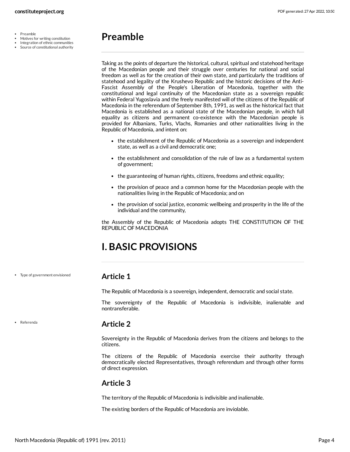- Preamble  $\sim$
- Motives for writing constitution
- Integration of ethnic communities
- Source of constitutional authority

## <span id="page-3-0"></span>**Preamble**

Taking as the points of departure the historical, cultural, spiritual and statehood heritage of the Macedonian people and their struggle over centuries for national and social freedom as well as for the creation of their own state, and particularly the traditions of statehood and legality of the Krushevo Republic and the historic decisions of the Anti-Fascist Assembly of the People's Liberation of Macedonia, together with the constitutional and legal continuity of the Macedonian state as a sovereign republic within Federal Yugoslavia and the freely manifested will of the citizens of the Republic of Macedonia in the referendum of September 8th, 1991, as well as the historical fact that Macedonia is established as a national state of the Macedonian people, in which full equality as citizens and permanent co-existence with the Macedonian people is provided for Albanians, Turks, Vlachs, Romanies and other nationalities living in the Republic of Macedonia, and intent on:

- the establishment of the Republic of Macedonia as a sovereign and independent state, as well as a civil and democratic one;
- the establishment and consolidation of the rule of law as a fundamental system of government;
- the guaranteeing of human rights, citizens, freedoms and ethnic equality;
- the provision of peace and a common home for the Macedonian people with the nationalities living in the Republic of Macedonia; and on
- the provision of social justice, economic wellbeing and prosperity in the life of the individual and the community,

the Assembly of the Republic of Macedonia adopts THE CONSTITUTION OF THE REPUBLIC OF MACEDONIA

## <span id="page-3-1"></span>**I. BASIC PROVISIONS**

Type of government envisioned

### <span id="page-3-2"></span>**Article 1**

The Republic of Macedonia is a sovereign, independent, democratic and social state.

The sovereignty of the Republic of Macedonia is indivisible, inalienable and nontransferable.

Referenda

### <span id="page-3-3"></span>**Article 2**

Sovereignty in the Republic of Macedonia derives from the citizens and belongs to the citizens.

The citizens of the Republic of Macedonia exercise their authority through democratically elected Representatives, through referendum and through other forms of direct expression.

### <span id="page-3-4"></span>**Article 3**

The territory of the Republic of Macedonia is indivisible and inalienable.

The existing borders of the Republic of Macedonia are inviolable.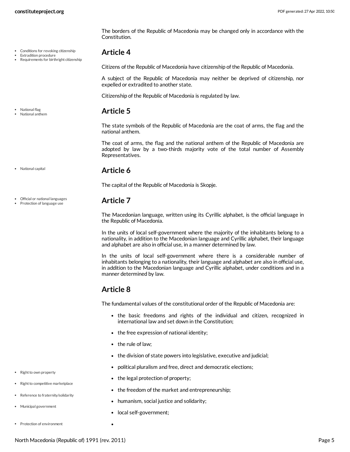The borders of the Republic of Macedonia may be changed only in accordance with the Constitution.

Citizens of the Republic of Macedonia have citizenship of the Republic of Macedonia.

A subject of the Republic of Macedonia may neither be deprived of citizenship, nor

The state symbols of the Republic of Macedonia are the coat of arms, the flag and the

The coat of arms, the flag and the national anthem of the Republic of Macedonia are adopted by law by a two-thirds majority vote of the total number of Assembly

### <span id="page-4-0"></span>**Article 4**

<span id="page-4-1"></span>**Article 5**

national anthem.

Representatives.

<span id="page-4-2"></span>**Article 6**

Extradition procedure Requirements for birthright citizenship

Conditions for revoking citizenship

• National flag National anthem

National capital

Official or national languages Protection of language use

<span id="page-4-3"></span>The capital of the Republic of Macedonia is Skopje.

expelled or extradited to another state.

Citizenship of the Republic of Macedonia is regulated by law.

### **Article 7**

The Macedonian language, written using its Cyrillic alphabet, is the official language in the Republic of Macedonia.

In the units of local self-government where the majority of the inhabitants belong to a nationality, in addition to the Macedonian language and Cyrillic alphabet, their language and alphabet are also in official use, in a manner determined by law.

In the units of local self-government where there is a considerable number of inhabitants belonging to a nationality, their language and alphabet are also in official use, in addition to the Macedonian language and Cyrillic alphabet, under conditions and in a manner determined by law.

### <span id="page-4-4"></span>**Article 8**

The fundamental values of the constitutional order of the Republic of Macedonia are:

- the basic freedoms and rights of the individual and citizen, recognized in international law and set down in the Constitution;
- the free expression of national identity;
- the rule of law:
- the division of state powers into legislative, executive and judicial;
- political pluralism and free, direct and democratic elections;
- <span id="page-4-9"></span>• the legal protection of property;
- <span id="page-4-8"></span>• the freedom of the market and entrepreneurship;
- <span id="page-4-7"></span>humanism, social justice and solidarity;
- <span id="page-4-6"></span><span id="page-4-5"></span>local self-government;

Protection of environment

Municipal government

• Right to own property

• Right to competitive marketplace

• Reference to fraternity/solidarity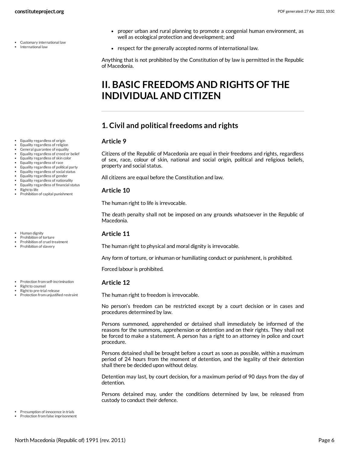Customary international law

Equality regardless of origin Equality regardless of religion General guarantee of equality Equality regardless of creed or belief Equality regardless of skin color Equality regardless of race Equality regardless of political party Equality regardless of social status Equality regardless of gender Equality regardless of nationality Equality regardless of financial status

Prohibition of capital punishment

Protection from self-incrimination

Right to counsel Right to pre-trial release Protection from unjustified restraint

Right to life

• Human dignity Prohibition of torture Prohibition of cruel treatment Prohibition of slavery

International law

<span id="page-5-2"></span>• respect for the generally accepted norms of international law.

Anything that is not prohibited by the Constitution of by law is permitted in the Republic of Macedonia.

## <span id="page-5-0"></span>**II. BASIC FREEDOMS AND RIGHTS OF THE INDIVIDUAL AND CITIZEN**

## <span id="page-5-1"></span>**1. Civil and political freedoms and rights**

### <span id="page-5-3"></span>**Article 9**

Citizens of the Republic of Macedonia are equal in their freedoms and rights, regardless of sex, race, colour of skin, national and social origin, political and religious beliefs, property and social status.

All citizens are equal before the Constitution and law.

#### <span id="page-5-6"></span>**Article 10**

The human right to life is irrevocable.

The death penalty shall not be imposed on any grounds whatsoever in the Republic of Macedonia.

### <span id="page-5-4"></span>**Article 11**

The human right to physical and moral dignity is irrevocable.

Any form of torture, or inhuman or humiliating conduct or punishment, is prohibited.

Forced labour is prohibited.

#### <span id="page-5-7"></span>**Article 12**

The human right to freedom is irrevocable.

No person's freedom can be restricted except by a court decision or in cases and procedures determined by law.

Persons summoned, apprehended or detained shall immediately be informed of the reasons for the summons, apprehension or detention and on their rights. They shall not be forced to make a statement. A person has a right to an attorney in police and court procedure.

Persons detained shall be brought before a court as soon as possible, within a maximum period of 24 hours from the moment of detention, and the legality of their detention shall there be decided upon without delay.

Detention may last, by court decision, for a maximum period of 90 days from the day of detention.

<span id="page-5-5"></span>Persons detained may, under the conditions determined by law, be released from custody to conduct their defence.

Presumption of innocence in trials

Protection from false imprisonment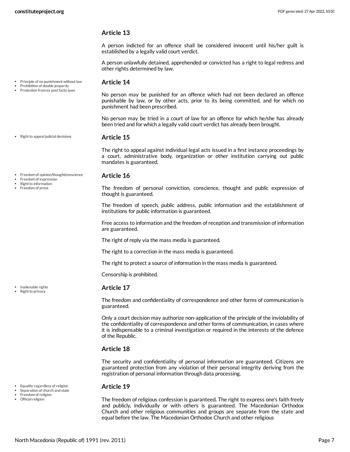#### **Article 13**

A person indicted for an offence shall be considered innocent until his/her guilt is established by a legally valid court verdict.

A person unlawfully detained, apprehended or convicted has a right to legal redress and other rights determined by law.

- $\bullet$  Principle of no punishment without law
- Prohibition of double jeopardy • Protection from ex post facto laws

## **Article 14**

<span id="page-6-3"></span>No person may be punished for an offence which had not been declared an offence punishable by law, or by other acts, prior to its being committed, and for which no punishment had been prescribed.

No person may be tried in a court of law for an offence for which he/she has already been tried and for which a legally valid court verdict has already been brought.

#### **Article 15** • Right to appeal judicial decisions

<span id="page-6-4"></span>The right to appeal against individual legal acts issued in a first instance proceedings by a court, administrative body, organization or other institution carrying out public mandates is guaranteed.

#### <span id="page-6-1"></span>**Article 16**

The freedom of personal conviction, conscience, thought and public expression of thought is guaranteed.

The freedom of speech, public address, public information and the establishment of institutions for public information is guaranteed.

Free access to information and the freedom of reception and transmission of information are guaranteed.

The right of reply via the mass media is guaranteed.

The right to a correction in the mass media is guaranteed.

The right to protect a source of information in the mass media is guaranteed.

Censorship is prohibited.

#### <span id="page-6-2"></span>**Article 17**

The freedom and confidentiality of correspondence and other forms of communication is guaranteed.

Only a court decision may authorize non-application of the principle of the inviolability of the confidentiality of correspondence and other forms of communication, in cases where it is indispensable to a criminal investigation or required in the interests of the defence of the Republic.

#### **Article 18**

The security and confidentiality of personal information are guaranteed. Citizens are guaranteed protection from any violation of their personal integrity deriving from the registration of personal information through data processing.

#### <span id="page-6-0"></span>**Article 19**

The freedom of religious confession is guaranteed. The right to express one's faith freely and publicly, individually or with others is guaranteed. The Macedonian Orthodox Church and other religious communities and groups are separate from the state and equal before the law. The Macedonian Orthodox Church and other religious

- Freedom of opinion/thought/conscience
- Freedom of expression
- Right to information
- Freedom of press

• Inalienable rights Right to privacy

Equality regardless of religion

- Separation of church and state Freedom of religion
- Official religion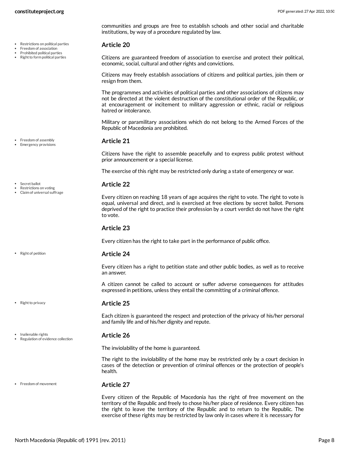- Restrictions on political parties
- Freedom of association
- Prohibited political parties
- Right to form political parties

- Freedom of assembly
- Emergency provisions
- 
- Secret ballot
- Restrictions on voting
- Claim of universal suffrage

• Right to privacy

Inalienable rights

Regulation of evidence collection

• Right of petition

<span id="page-7-6"></span>**Article 25**

Each citizen is guaranteed the respect and protection of the privacy of his/her personal and family life and of his/her dignity and repute.

Every citizen has a right to petition state and other public bodies, as well as to receive

A citizen cannot be called to account or suffer adverse consequences for attitudes

expressed in petitions, unless they entail the committing of a criminal offence.

communities and groups are free to establish schools and other social and charitable

Citizens are guaranteed freedom of association to exercise and protect their political,

Citizens may freely establish associations of citizens and political parties, join them or

The programmes and activities of political parties and other associations of citizens may not be directed at the violent destruction of the constitutional order of the Republic, or at encouragement or incitement to military aggression or ethnic, racial or religious

Military or paramilitary associations which do not belong to the Armed Forces of the

Citizens have the right to assemble peacefully and to express public protest without

Every citizen on reaching 18 years of age acquires the right to vote. The right to vote is equal, universal and direct, and is exercised at free elections by secret ballot. Persons deprived of the right to practice their profession by a court verdict do not have the right

Every citizen has the right to take part in the performance of public office.

The exercise of this right may be restricted only during a state of emergency or war.

institutions, by way of a procedure regulated by law.

economic, social, cultural and other rights and convictions.

<span id="page-7-2"></span>**Article 20**

resign from them.

hatred or intolerance.

<span id="page-7-1"></span>**Article 21**

<span id="page-7-0"></span>**Article 22**

to vote.

**Article 23**

<span id="page-7-5"></span>**Article 24**

an answer.

Republic of Macedonia are prohibited.

prior announcement or a special license.

**Article 26**

<span id="page-7-4"></span>The inviolability of the home is guaranteed.

The right to the inviolability of the home may be restricted only by a court decision in cases of the detection or prevention of criminal offences or the protection of people's health.

- Freedom of movement
- <span id="page-7-3"></span>**Article 27**

Every citizen of the Republic of Macedonia has the right of free movement on the territory of the Republic and freely to chose his/her place of residence. Every citizen has the right to leave the territory of the Republic and to return to the Republic. The exercise of these rights may be restricted by law only in cases where it is necessary for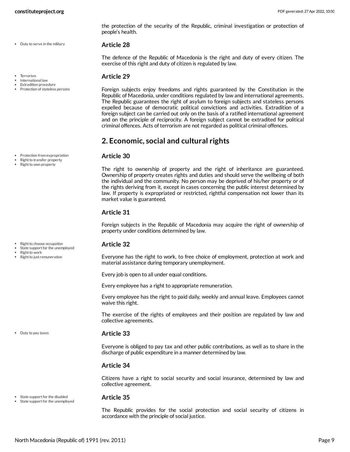- Duty to serve in the military
- Terrorism
- International law
- Extradition procedure
- Protection of stateless persons

Protection from expropriation

Right to transfer property

Right to own property

- Right to choose occupation
- State support for the unemployed
- Right to work

Duty to pay taxes

• Right to just remuneration

#### <span id="page-8-1"></span>**Article 33**

Everyone is obliged to pay tax and other public contributions, as well as to share in the discharge of public expenditure in a manner determined by law.

#### **Article 34**

Citizens have a right to social security and social insurance, determined by law and collective agreement.

• State support for the disabled • State support for the unemployed

#### <span id="page-8-6"></span>**Article 35**

The Republic provides for the social protection and social security of citizens in accordance with the principle of social justice.

#### <span id="page-8-2"></span>**Article 28**

The defence of the Republic of Macedonia is the right and duty of every citizen. The exercise of this right and duty of citizen is regulated by law.

#### <span id="page-8-3"></span>**Article 29**

Foreign subjects enjoy freedoms and rights guaranteed by the Constitution in the Republic of Macedonia, under conditions regulated by law and international agreements. The Republic guarantees the right of asylum to foreign subjects and stateless persons expelled because of democratic political convictions and activities. Extradition of a foreign subject can be carried out only on the basis of a ratified international agreement and on the principle of reciprocity. A foreign subject cannot be extradited for political criminal offences. Acts of terrorism are not regarded as political criminal offences.

### <span id="page-8-0"></span>**2. Economic, social and cultural rights**

#### <span id="page-8-4"></span>**Article 30**

The right to ownership of property and the right of inheritance are guaranteed. Ownership of property creates rights and duties and should serve the wellbeing of both the individual and the community. No person may be deprived of his/her property or of the rights deriving from it, except in cases concerning the public interest determined by law. If property is expropriated or restricted, rightful compensation not lower than its market value is guaranteed.

#### **Article 31**

Foreign subjects in the Republic of Macedonia may acquire the right of ownership of property under conditions determined by law.

#### <span id="page-8-5"></span>**Article 32**

Everyone has the right to work, to free choice of employment, protection at work and material assistance during temporary unemployment.

Every job is open to all under equal conditions.

Every employee has a right to appropriate remuneration.

Every employee has the right to paid daily, weekly and annual leave. Employees cannot waive this right.

The exercise of the rights of employees and their position are regulated by law and collective agreements.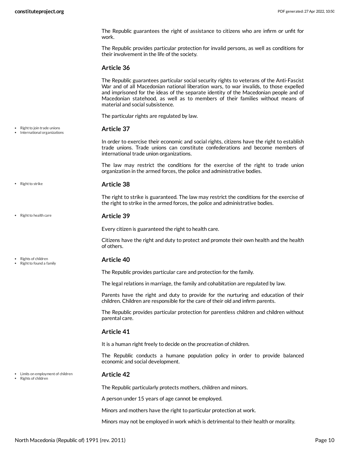Right to join trade unions • International organizations

• Right to strike

• Right to health care

Rights of children Right to found a family The Republic guarantees the right of assistance to citizens who are infirm or unfit for work.

The Republic provides particular protection for invalid persons, as well as conditions for their involvement in the life of the society.

#### **Article 36**

The Republic guarantees particular social security rights to veterans of the Anti-Fascist War and of all Macedonian national liberation wars, to war invalids, to those expelled and imprisoned for the ideas of the separate identity of the Macedonian people and of Macedonian statehood, as well as to members of their families without means of material and social subsistence.

The particular rights are regulated by law.

#### <span id="page-9-0"></span>**Article 37**

In order to exercise their economic and social rights, citizens have the right to establish trade unions. Trade unions can constitute confederations and become members of international trade union organizations.

The law may restrict the conditions for the exercise of the right to trade union organization in the armed forces, the police and administrative bodies.

#### <span id="page-9-4"></span>**Article 38**

The right to strike is guaranteed. The law may restrict the conditions for the exercise of the right to strike in the armed forces, the police and administrative bodies.

#### <span id="page-9-3"></span>**Article 39**

Every citizen is guaranteed the right to health care.

Citizens have the right and duty to protect and promote their own health and the health of others.

#### <span id="page-9-2"></span>**Article 40**

The Republic provides particular care and protection for the family.

The legal relations in marriage, the family and cohabitation are regulated by law.

Parents have the right and duty to provide for the nurturing and education of their children. Children are responsible for the care of their old and infirm parents.

The Republic provides particular protection for parentless children and children without parental care.

#### **Article 41**

It is a human right freely to decide on the procreation of children.

The Republic conducts a humane population policy in order to provide balanced economic and social development.

Limits on employment of children Rights of children

#### <span id="page-9-1"></span>**Article 42**

The Republic particularly protects mothers, children and minors.

A person under 15 years of age cannot be employed.

Minors and mothers have the right to particular protection at work.

Minors may not be employed in work which is detrimental to their health or morality.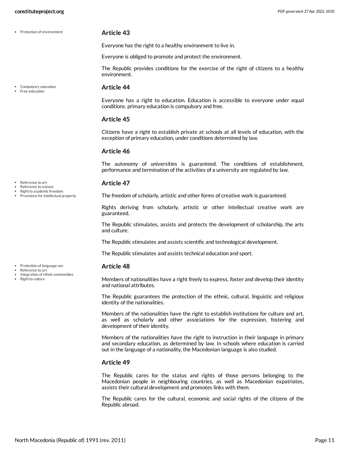• Protection of environment

Compulsory education Free education

#### <span id="page-10-2"></span>**Article 43**

Everyone has the right to a healthy environment to live in.

Everyone is obliged to promote and protect the environment.

The Republic provides conditions for the exercise of the right of citizens to a healthy environment.

#### <span id="page-10-0"></span>**Article 44**

Everyone has a right to education. Education is accessible to everyone under equal conditions. primary education is compulsory and free.

#### **Article 45**

Citizens have a right to establish private at schools at all levels of education, with the exception of primary education, under conditions determined by law.

#### **Article 46**

The autonomy of universities is guaranteed. The conditions of establishment, performance and termination of the activities of a university are regulated by law.

#### <span id="page-10-3"></span>**Article 47**

The freedom of scholarly, artistic and other forms of creative work is guaranteed.

Rights deriving from scholarly, artistic or other intellectual creative work are guaranteed.

The Republic stimulates, assists and protects the development of scholarship, the arts and culture.

The Republic stimulates and assists scientific and technological development.

The Republic stimulates and assists technical education and sport.

#### <span id="page-10-1"></span>**Article 48**

Members of nationalities have a right freely to express, foster and develop their identity and national attributes.

The Republic guarantees the protection of the ethnic, cultural, linguistic and religious identity of the nationalities.

Members of the nationalities have the right to establish institutions for culture and art, as well as scholarly and other associations for the expression, fostering and development of their identity.

Members of the nationalities have the right to instruction in their language in primary and secondary education, as determined by law. In schools where education is carried out in the language of a nationality, the Macedonian language is also studied.

#### **Article 49**

The Republic cares for the status and rights of those persons belonging to the Macedonian people in neighbouring countries, as well as Macedonian expatriates, assists their cultural development and promotes links with them.

The Republic cares for the cultural, economic and social rights of the citizens of the Republic abroad.

Reference to art Reference to science Right to academic freedom Provisions for intellectual property

- Protection of language use
- Reference to art
- Integration of ethnic communities
- Right to culture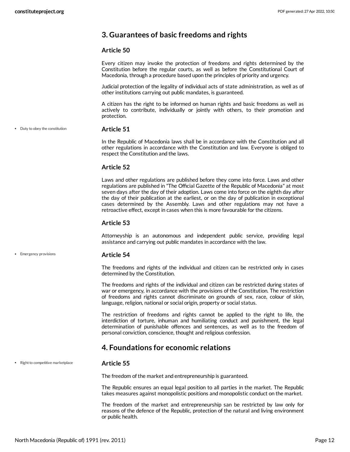### <span id="page-11-0"></span>**3. Guarantees of basic freedoms and rights**

#### **Article 50**

Every citizen may invoke the protection of freedoms and rights determined by the Constitution before the regular courts, as well as before the Constitutional Court of Macedonia, through a procedure based upon the principles of priority and urgency.

Judicial protection of the legality of individual acts of state administration, as well as of other institutions carrying out public mandates, is guaranteed.

A citizen has the right to be informed on human rights and basic freedoms as well as actively to contribute, individually or jointly with others, to their promotion and protection.

• Duty to obey the constitution

#### <span id="page-11-2"></span>**Article 51**

In the Republic of Macedonia laws shall be in accordance with the Constitution and all other regulations in accordance with the Constitution and law. Everyone is obliged to respect the Constitution and the laws.

#### **Article 52**

Laws and other regulations are published before they come into force. Laws and other regulations are published in "The Official Gazette of the Republic of Macedonia" at most seven days after the day of their adoption. Laws come into force on the eighth day after the day of their publication at the earliest, or on the day of publication in exceptional cases determined by the Assembly. Laws and other regulations may not have a retroactive effect, except in cases when this is more favourable for the citizens.

#### **Article 53**

Attorneyship is an autonomous and independent public service, providing legal assistance and carrying out public mandates in accordance with the law.

#### **Article 54**

<span id="page-11-3"></span>The freedoms and rights of the individual and citizen can be restricted only in cases determined by the Constitution.

The freedoms and rights of the individual and citizen can be restricted during states of war or emergency, in accordance with the provisions of the Constitution. The restriction of freedoms and rights cannot discriminate on grounds of sex, race, colour of skin, language, religion, national or social origin, property or social status.

The restriction of freedoms and rights cannot be applied to the right to life, the interdiction of torture, inhuman and humiliating conduct and punishment, the legal determination of punishable offences and sentences, as well as to the freedom of personal conviction, conscience, thought and religious confession.

### <span id="page-11-1"></span>**4. Foundations for economic relations**

#### • Right to competitive marketplace

• Emergency provisions

#### <span id="page-11-4"></span>**Article 55**

The freedom of the market and entrepreneurship is guaranteed.

The Republic ensures an equal legal position to all parties in the market. The Republic takes measures against monopolistic positions and monopolistic conduct on the market.

The freedom of the market and entrepreneurship san be restricted by law only for reasons of the defence of the Republic, protection of the natural and living environment or public health.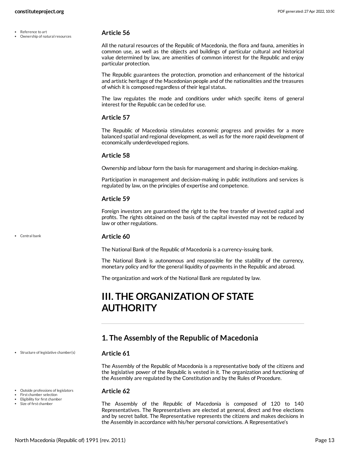- Reference to art
- Ownership of natural resources

#### <span id="page-12-4"></span>**Article 56**

All the natural resources of the Republic of Macedonia, the flora and fauna, amenities in common use, as well as the objects and buildings of particular cultural and historical value determined by law, are amenities of common interest for the Republic and enjoy particular protection.

The Republic guarantees the protection, promotion and enhancement of the historical and artistic heritage of the Macedonian people and of the nationalities and the treasures of which it is composed regardless of their legal status.

The law regulates the mode and conditions under which specific items of general interest for the Republic can be ceded for use.

#### **Article 57**

The Republic of Macedonia stimulates economic progress and provides for a more balanced spatial and regional development, as well as for the more rapid development of economically underdeveloped regions.

#### **Article 58**

Ownership and labour form the basis for management and sharing in decision-making.

Participation in management and decision-making in public institutions and services is regulated by law, on the principles of expertise and competence.

#### **Article 59**

Foreign investors are guaranteed the right to the free transfer of invested capital and profits. The rights obtained on the basis of the capital invested may not be reduced by law or other regulations.

<span id="page-12-2"></span>**Article 60**

The National Bank of the Republic of Macedonia is a currency-issuing bank.

The National Bank is autonomous and responsible for the stability of the currency, monetary policy and for the general liquidity of payments in the Republic and abroad.

The organization and work of the National Bank are regulated by law.

## <span id="page-12-0"></span>**III. THE ORGANIZATION OF STATE AUTHORITY**

### <span id="page-12-1"></span>**1. The Assembly of the Republic of Macedonia**

#### <span id="page-12-5"></span>**Article 61**

The Assembly of the Republic of Macedonia is a representative body of the citizens and the legislative power of the Republic is vested in it. The organization and functioning of the Assembly are regulated by the Constitution and by the Rules of Procedure.

#### <span id="page-12-3"></span>**Article 62**

The Assembly of the Republic of Macedonia is composed of 120 to 140 Representatives. The Representatives are elected at general, direct and free elections and by secret ballot. The Representative represents the citizens and makes decisions in the Assembly in accordance with his/her personal convictions. A Representative's

• Central bank

• Structure of legislative chamber(s)

Outside professions of legislators First chamber selection Eligibility for first chamber Size of first chamber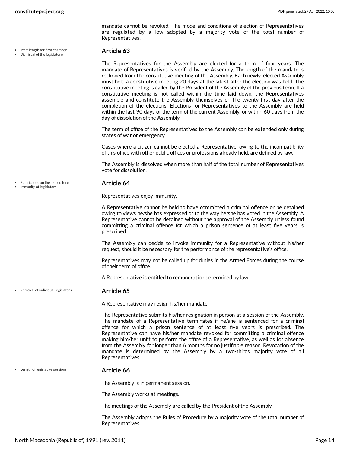Term length for first chamber Dismissal of the legislature

Restrictions on the armed forces Immunity of legislators

mandate cannot be revoked. The mode and conditions of election of Representatives are regulated by a low adopted by a majority vote of the total number of Representatives.

#### <span id="page-13-0"></span>**Article 63**

The Representatives for the Assembly are elected for a term of four years. The mandate of Representatives is verified by the Assembly. The length of the mandate is reckoned from the constitutive meeting of the Assembly. Each newly-elected Assembly must hold a constitutive meeting 20 days at the latest after the election was held. The constitutive meeting is called by the President of the Assembly of the previous term. If a constitutive meeting is not called within the time laid down, the Representatives assemble and constitute the Assembly themselves on the twenty-first day after the completion of the elections. Elections for Representatives to the Assembly are held within the last 90 days of the term of the current Assembly, or within 60 days from the day of dissolution of the Assembly.

The term of office of the Representatives to the Assembly can be extended only during states of war or emergency.

Cases where a citizen cannot be elected a Representative, owing to the incompatibility of this office with other public offices or professions already held, are defined by law.

The Assembly is dissolved when more than half of the total number of Representatives vote for dissolution.

#### <span id="page-13-1"></span>**Article 64**

Representatives enjoy immunity.

A Representative cannot be held to have committed a criminal offence or be detained owing to views he/she has expressed or to the way he/she has voted in the Assembly. A Representative cannot be detained without the approval of the Assembly unless found committing a criminal offence for which a prison sentence of at least five years is prescribed.

The Assembly can decide to invoke immunity for a Representative without his/her request, should it be necessary for the performance of the representative's office.

Representatives may not be called up for duties in the Armed Forces during the course of their term of office.

<span id="page-13-3"></span>A Representative is entitled to remuneration determined by law.

#### **Article 65** • Removal of individual legislators

A Representative may resign his/her mandate.

The Representative submits his/her resignation in person at a session of the Assembly. The mandate of a Representative terminates if he/she is sentenced for a criminal offence for which a prison sentence of at least five years is prescribed. The Representative can have his/her mandate revoked for committing a criminal offence making him/her unfit to perform the office of a Representative, as well as for absence from the Assembly for longer than 6 months for no justifiable reason. Revocation of the mandate is determined by the Assembly by a two-thirds majority vote of all Representatives.

Length of legislative sessions

#### <span id="page-13-2"></span>**Article 66**

The Assembly is in permanent session.

The Assembly works at meetings.

The meetings of the Assembly are called by the President of the Assembly.

The Assembly adopts the Rules of Procedure by a majority vote of the total number of Representatives.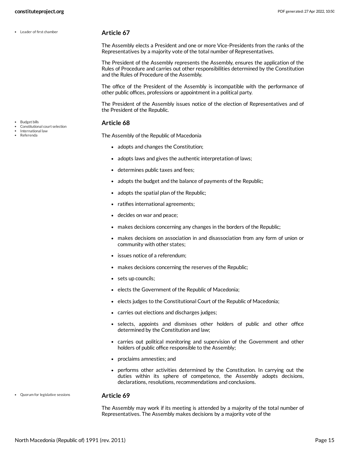Leader of first chamber

Budget bills

Constitutional court selection International law Referenda

#### <span id="page-14-1"></span>**Article 67**

The Assembly elects a President and one or more Vice-Presidents from the ranks of the Representatives by a majority vote of the total number of Representatives.

The President of the Assembly represents the Assembly, ensures the application of the Rules of Procedure and carries out other responsibilities determined by the Constitution and the Rules of Procedure of the Assembly.

The office of the President of the Assembly is incompatible with the performance of other public offices, professions or appointment in a political party.

The President of the Assembly issues notice of the election of Representatives and of the President of the Republic.

#### <span id="page-14-0"></span>**Article 68**

The Assembly of the Republic of Macedonia

- adopts and changes the Constitution;
- adopts laws and gives the authentic interpretation of laws;
- determines public taxes and fees;
- adopts the budget and the balance of payments of the Republic;
- adopts the spatial plan of the Republic;
- ratifies international agreements;
- decides on war and peace;
- makes decisions concerning any changes in the borders of the Republic;
- makes decisions on association in and disassociation from any form of union or community with other states;
- issues notice of a referendum:
- makes decisions concerning the reserves of the Republic;
- sets up councils;
- elects the Government of the Republic of Macedonia;
- elects judges to the Constitutional Court of the Republic of Macedonia;
- carries out elections and discharges judges;
- selects, appoints and dismisses other holders of public and other office determined by the Constitution and law;
- carries out political monitoring and supervision of the Government and other holders of public office responsible to the Assembly;
- proclaims amnesties; and
- performs other activities determined by the Constitution. In carrying out the duties within its sphere of competence, the Assembly adopts decisions, declarations, resolutions, recommendations and conclusions.

Quorum for legislative sessions

#### <span id="page-14-2"></span>**Article 69**

The Assembly may work if its meeting is attended by a majority of the total number of Representatives. The Assembly makes decisions by a majority vote of the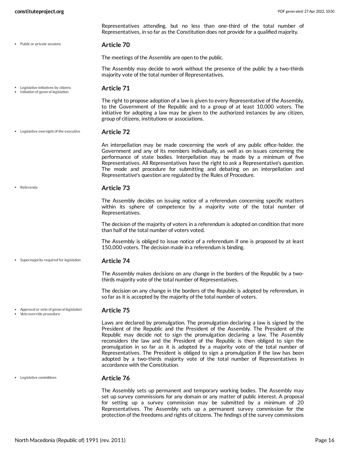Public or private sessions

Representatives attending, but no less than one-third of the total number of Representatives, in so far as the Constitution does not provide for a qualified majority.

#### <span id="page-15-4"></span>**Article 70**

The meetings of the Assembly are open to the public.

The Assembly may decide to work without the presence of the public by a two-thirds majority vote of the total number of Representatives.

Legislative initiatives by citizens Initiation of general legislation

<span id="page-15-1"></span>**Article 71**

The right to propose adoption of a law is given to every Representative of the Assembly, to the Government of the Republic and to a group of at least 10,000 voters. The initiative for adopting a law may be given to the authorized instances by any citizen, group of citizens, institutions or associations.

Legislative oversight of the executive

<span id="page-15-3"></span>**Article 72**

An interpellation may be made concerning the work of any public office-holder, the Government and any of its members individually, as well as on issues concerning the performance of state bodies. Interpellation may be made by a minimum of five Representatives. All Representatives have the right to ask a Representative's question. The mode and procedure for submitting and debating on an interpellation and Representative's question are regulated by the Rules of Procedure.

#### <span id="page-15-5"></span>**Article 73**

The Assembly decides on issuing notice of a referendum concerning specific matters within its sphere of competence by a majority vote of the total number of Representatives.

The decision of the majority of voters in a referendum is adopted on condition that more than half of the total number of voters voted.

The Assembly is obliged to issue notice of a referendum if one is proposed by at least 150,000 voters. The decision made in a referendum is binding.

**Article 74** Supermajority required for legislation

> <span id="page-15-6"></span>The Assembly makes decisions on any change in the borders of the Republic by a twothirds majority vote of the total number of Representatives.

> The decision on any change in the borders of the Republic is adopted by referendum, in so far as it is accepted by the majority of the total number of voters.

- Approval or veto of general legislation
- Veto override procedure

Referenda

#### <span id="page-15-0"></span>**Article 75**

Laws are declared by promulgation. The promulgation declaring a law is signed by the President of the Republic and the President of the Assembly. The President of the Republic may decide not to sign the promulgation declaring a law. The Assembly reconsiders the law and the President of the Republic is then obliged to sign the promulgation in so far as it is adopted by a majority vote of the total number of Representatives. The President is obliged to sign a promulgation if the law has been adopted by a two-thirds majority vote of the total number of Representatives in accordance with the Constitution.

Legislative committees

#### <span id="page-15-2"></span>**Article 76**

The Assembly sets up permanent and temporary working bodies. The Assembly may set up survey commissions for any domain or any matter of public interest. A proposal for setting up a survey commission may be submitted by a minimum of 20 Representatives. The Assembly sets up a permanent survey commission for the protection of the freedoms and rights of citizens. The findings of the survey commissions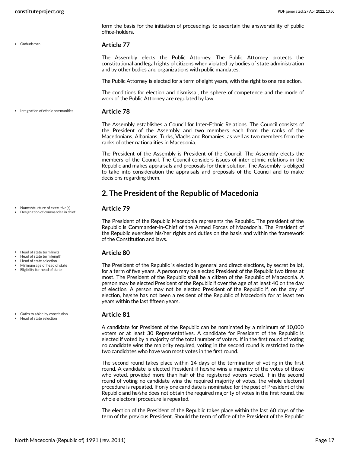• Ombudsman

form the basis for the initiation of proceedings to ascertain the answerability of public office-holders.

#### <span id="page-16-5"></span>**Article 77**

The Assembly elects the Public Attorney. The Public Attorney protects the constitutional and legal rights of citizens when violated by bodies of state administration and by other bodies and organizations with public mandates.

The Public Attorney is elected for a term of eight years, with the right to one reelection.

The conditions for election and dismissal, the sphere of competence and the mode of work of the Public Attorney are regulated by law.

**Article 78** • Integration of ethnic communities

> <span id="page-16-3"></span>The Assembly establishes a Council for Inter-Ethnic Relations. The Council consists of the President of the Assembly and two members each from the ranks of the Macedonians, Albanians, Turks, Vlachs and Romanies, as well as two members from the ranks of other nationalities in Macedonia.

> The President of the Assembly is President of the Council. The Assembly elects the members of the Council. The Council considers issues of inter-ethnic relations in the Republic and makes appraisals and proposals for their solution. The Assembly is obliged to take into consideration the appraisals and proposals of the Council and to make decisions regarding them.

### <span id="page-16-0"></span>**2. The President of the Republic of Macedonia**

#### <span id="page-16-1"></span>**Article 79**

The President of the Republic Macedonia represents the Republic. The president of the Republic is Commander-in-Chief of the Armed Forces of Macedonia. The President of the Republic exercises his/her rights and duties on the basis and within the framework of the Constitution and laws.

#### <span id="page-16-2"></span>**Article 80**

The President of the Republic is elected in general and direct elections, by secret ballot, for a term of five years. A person may be elected President of the Republic two times at most. The President of the Republic shall be a citizen of the Republic of Macedonia. A person may be elected President of the Republic if over the age of at least 40 on the day of election. A person may not be elected President of the Republic if, on the day of election, he/she has not been a resident of the Republic of Macedonia for at least ten years within the last fifteen years.

#### <span id="page-16-4"></span>**Article 81**

A candidate for President of the Republic can be nominated by a minimum of 10,000 voters or at least 30 Representatives. A candidate for President of the Republic is elected if voted by a majority of the total number of voters. If in the first round of voting no candidate wins the majority required, voting in the second round is restricted to the two candidates who have won most votes in the first round.

The second round takes place within 14 days of the termination of voting in the first round. A candidate is elected President if he/she wins a majority of the votes of those who voted, provided more than half of the registered voters voted. If in the second round of voting no candidate wins the required majority of votes, the whole electoral procedure is repeated. If only one candidate is nominated for the post of President of the Republic and he/she does not obtain the required majority of votes in the first round, the whole electoral procedure is repeated.

The election of the President of the Republic takes place within the last 60 days of the term of the previous President. Should the term of office of the President of the Republic

Name/structure of executive(s) Designation of commander in chief

- 
- Oaths to abide by constitution
- Head of state selection

• Head of state term limits Head of state term length Head of state selection Minimum age of head of state Eligibility for head of state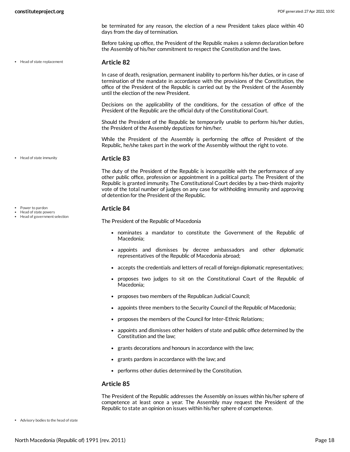be terminated for any reason, the election of a new President takes place within 40 days from the day of termination.

Before taking up office, the President of the Republic makes a solemn declaration before the Assembly of his/her commitment to respect the Constitution and the laws.

• Head of state replacement

Head of state immunity

Power to pardon Head of state powers Head of government selection

#### <span id="page-17-3"></span>**Article 82**

In case of death, resignation, permanent inability to perform his/her duties, or in case of termination of the mandate in accordance with the provisions of the Constitution, the office of the President of the Republic is carried out by the President of the Assembly until the election of the new President.

Decisions on the applicability of the conditions, for the cessation of office of the President of the Republic are the official duty of the Constitutional Court.

Should the President of the Republic be temporarily unable to perform his/her duties, the President of the Assembly deputizes for him/her.

While the President of the Assembly is performing the office of President of the Republic, he/she takes part in the work of the Assembly without the right to vote.

#### **Article 83**

<span id="page-17-2"></span>The duty of the President of the Republic is incompatible with the performance of any other public office, profession or appointment in a political party. The President of the Republic is granted immunity. The Constitutional Court decides by a two-thirds majority vote of the total number of judges on any case for withholding immunity and approving of detention for the President of the Republic.

#### <span id="page-17-1"></span>**Article 84**

The President of the Republic of Macedonia

- nominates a mandator to constitute the Government of the Republic of Macedonia;
- appoints and dismisses by decree ambassadors and other diplomatic representatives of the Republic of Macedonia abroad;
- accepts the credentials and letters of recall of foreign diplomatic representatives;
- proposes two judges to sit on the Constitutional Court of the Republic of Macedonia;
- proposes two members of the Republican Judicial Council;
- appoints three members to the Security Council of the Republic of Macedonia;
- proposes the members of the Council for Inter-Ethnic Relations;
- appoints and dismisses other holders of state and public office determined by the Constitution and the law;
- grants decorations and honours in accordance with the law;
- grants pardons in accordance with the law; and
- performs other duties determined by the Constitution.

#### **Article 85**

<span id="page-17-0"></span>The President of the Republic addresses the Assembly on issues within his/her sphere of competence at least once a year. The Assembly may request the President of the Republic to state an opinion on issues within his/her sphere of competence.

Advisory bodies to the head of state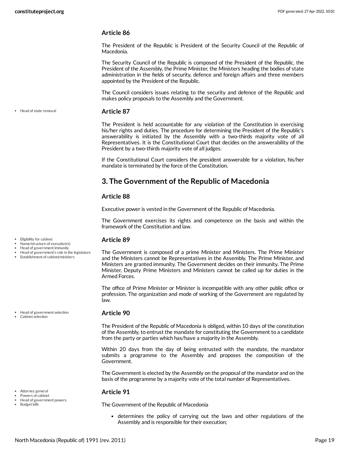Head of state removal

#### **Article 86**

The President of the Republic is President of the Security Council of the Republic of Macedonia.

The Security Council of the Republic is composed of the President of the Republic, the President of the Assembly, the Prime Minister, the Ministers heading the bodies of state administration in the fields of security, defence and foreign affairs and three members appointed by the President of the Republic.

The Council considers issues relating to the security and defence of the Republic and makes policy proposals to the Assembly and the Government.

**Article 87**

<span id="page-18-4"></span>The President is held accountable for any violation of the Constitution in exercising his/her rights and duties. The procedure for determining the President of the Republic's answerability is initiated by the Assembly with a two-thirds majority vote of all Representatives. It is the Constitutional Court that decides on the answerability of the President by a two-thirds majority vote of all judges.

If the Constitutional Court considers the president answerable for a violation, his/her mandate is terminated by the force of the Constitution.

### <span id="page-18-0"></span>**3. The Government of the Republic of Macedonia**

#### **Article 88**

Executive power is vested in the Government of the Republic of Macedonia.

The Government exercises its rights and competence on the basis and within the framework of the Constitution and law.

#### <span id="page-18-3"></span>**Article 89**

The Government is composed of a prime Minister and Ministers. The Prime Minister and the Ministers cannot be Representatives in the Assembly. The Prime Minister, and Ministers are granted immunity. The Government decides on their immunity. The Prime Minister, Deputy Prime Ministers and Ministers cannot be called up for duties in the Armed Forces.

The office of Prime Minister or Minister is incompatible with any other public office or profession. The organization and mode of working of the Government are regulated by law.

#### <span id="page-18-2"></span>**Article 90**

The President of the Republic of Macedonia is obliged, within 10 days of the constitution of the Assembly, to entrust the mandate for constituting the Government to a candidate from the party or parties which has/have a majority in the Assembly.

Within 20 days from the day of being entrusted with the mandate, the mandator submits a programme to the Assembly and proposes the composition of the Government.

The Government is elected by the Assembly on the proposal of the mandator and on the basis of the programme by a majority vote of the total number of Representatives.

#### <span id="page-18-1"></span>**Article 91**

The Government of the Republic of Macedonia

determines the policy of carrying out the laws and other regulations of the Assembly and is responsible for their execution;

Eligibility for cabinet

- Name/structure of executive(s)
- Head of government immunity
- Head of government's role in the legislature Establishment of cabinet/ministers

Head of government selection

Cabinet selection

#### Attorney general

- Powers of cabinet
- Head of government powers • Budget bills
-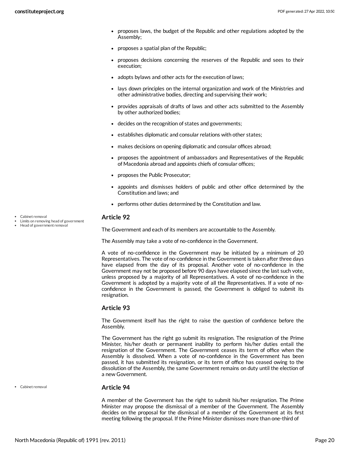- proposes laws, the budget of the Republic and other regulations adopted by the Assembly;
- proposes a spatial plan of the Republic;
- proposes decisions concerning the reserves of the Republic and sees to their execution;
- adopts bylaws and other acts for the execution of laws;
- lays down principles on the internal organization and work of the Ministries and other administrative bodies, directing and supervising their work;
- provides appraisals of drafts of laws and other acts submitted to the Assembly by other authorized bodies;
- decides on the recognition of states and governments;
- establishes diplomatic and consular relations with other states;
- makes decisions on opening diplomatic and consular offices abroad;
- proposes the appointment of ambassadors and Representatives of the Republic of Macedonia abroad and appoints chiefs of consular offices;
- proposes the Public Prosecutor;
- appoints and dismisses holders of public and other office determined by the Constitution and laws; and
- performs other duties determined by the Constitution and law.

#### <span id="page-19-0"></span>**Article 92**

The Government and each of its members are accountable to the Assembly.

The Assembly may take a vote of no-confidence in the Government.

A vote of no-confidence in the Government may be initiated by a minimum of 20 Representatives. The vote of no-confidence in the Government is taken after three days have elapsed from the day of its proposal. Another vote of no-confidence in the Government may not be proposed before 90 days have elapsed since the last such vote, unless proposed by a majority of all Representatives. A vote of no-confidence in the Government is adopted by a majority vote of all the Representatives. If a vote of noconfidence in the Government is passed, the Government is obliged to submit its resignation.

#### **Article 93**

The Government itself has the right to raise the question of confidence before the Assembly.

The Government has the right go submit its resignation. The resignation of the Prime Minister, his/her death or permanent inability to perform his/her duties entail the resignation of the Government. The Government ceases its term of office when the Assembly is dissolved. When a vote of no-confidence in the Government has been passed, it has submitted its resignation, or its term of office has ceased owing to the dissolution of the Assembly, the same Government remains on duty until the election of a new Government.

Cabinet removal

#### **Article 94**

A member of the Government has the right to submit his/her resignation. The Prime Minister may propose the dismissal of a member of the Government. The Assembly decides on the proposal for the dismissal of a member of the Government at its first meeting following the proposal. If the Prime Minister dismisses more than one-third of

- 
- Cabinet removal
- Limits on removing head of government Head of government removal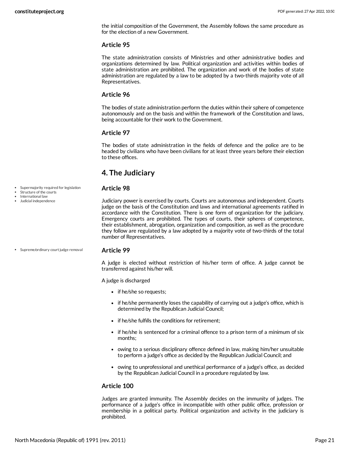the initial composition of the Government, the Assembly follows the same procedure as for the election of a new Government.

#### **Article 95**

The state administration consists of Ministries and other administrative bodies and organizations determined by law. Political organization and activities within bodies of state administration are prohibited. The organization and work of the bodies of state administration are regulated by a law to be adopted by a two-thirds majority vote of all Representatives.

#### **Article 96**

The bodies of state administration perform the duties within their sphere of competence autonomously and on the basis and within the framework of the Constitution and laws, being accountable for their work to the Government.

#### **Article 97**

The bodies of state administration in the fields of defence and the police are to be headed by civilians who have been civilians for at least three years before their election to these offices.

### <span id="page-20-0"></span>**4. The Judiciary**

#### <span id="page-20-1"></span>**Article 98**

- Supermajority required for legislation Structure of the courts
- International law
- Judicial independence

Judiciary power is exercised by courts. Courts are autonomous and independent. Courts judge on the basis of the Constitution and laws and international agreements ratified in accordance with the Constitution. There is one form of organization for the judiciary. Emergency courts are prohibited. The types of courts, their spheres of competence, their establishment, abrogation, organization and composition, as well as the procedure they follow are regulated by a law adopted by a majority vote of two-thirds of the total number of Representatives.

• Supreme/ordinary court judge removal

#### <span id="page-20-2"></span>**Article 99**

A judge is elected without restriction of his/her term of office. A judge cannot be transferred against his/her will.

#### A judge is discharged

- if he/she so requests;
- if he/she permanently loses the capability of carrying out a judge's office, which is determined by the Republican Judicial Council;
- if he/she fulfills the conditions for retirement;
- if he/she is sentenced for a criminal offence to a prison term of a minimum of six months;
- $\bullet$  owing to a serious disciplinary offence defined in law, making him/her unsuitable to perform a judge's office as decided by the Republican Judicial Council; and
- owing to unprofessional and unethical performance of a judge's office, as decided by the Republican Judicial Council in a procedure regulated by law.

#### **Article 100**

Judges are granted immunity. The Assembly decides on the immunity of judges. The performance of a judge's office in incompatible with other public office, profession or membership in a political party. Political organization and activity in the judiciary is prohibited.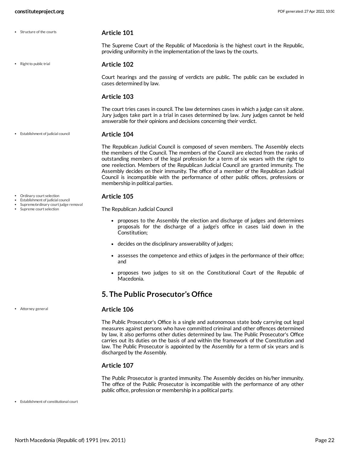Structure of the courts

• Right to public trial

<span id="page-21-6"></span>**Article 101**

The Supreme Court of the Republic of Macedonia is the highest court in the Republic, providing uniformity in the implementation of the laws by the courts.

#### <span id="page-21-5"></span>**Article 102**

Court hearings and the passing of verdicts are public. The public can be excluded in cases determined by law.

#### **Article 103**

The court tries cases in council. The law determines cases in which a judge can sit alone. Jury judges take part in a trial in cases determined by law. Jury judges cannot be held answerable for their opinions and decisions concerning their verdict.

**Article 104** Establishment of judicial council

> <span id="page-21-3"></span>The Republican Judicial Council is composed of seven members. The Assembly elects the members of the Council. The members of the Council are elected from the ranks of outstanding members of the legal profession for a term of six wears with the right to one reelection. Members of the Republican Judicial Council are granted immunity. The Assembly decides on their immunity. The office of a member of the Republican Judicial Council is incompatible with the performance of other public offices, professions or membership in political parties.

#### <span id="page-21-4"></span>**Article 105**

The Republican Judicial Council

- proposes to the Assembly the election and discharge of judges and determines proposals for the discharge of a judge's office in cases laid down in the Constitution;
- decides on the disciplinary answerability of judges;
- assesses the competence and ethics of judges in the performance of their office; and
- proposes two judges to sit on the Constitutional Court of the Republic of Macedonia.

### <span id="page-21-0"></span>**5. The Public Prosecutor's Office**

#### <span id="page-21-1"></span>**Article 106**

The Public Prosecutor's Office is a single and autonomous state body carrying out legal measures against persons who have committed criminal and other offences determined by law, it also performs other duties determined by law. The Public Prosecutor's Office carries out its duties on the basis of and within the framework of the Constitution and law. The Public Prosecutor is appointed by the Assembly for a term of six years and is discharged by the Assembly.

#### **Article 107**

<span id="page-21-2"></span>The Public Prosecutor is granted immunity. The Assembly decides on his/her immunity. The office of the Public Prosecutor is incompatible with the performance of any other public office, profession or membership in a political party.

Establishment of constitutional court

Attorney general

Ordinary court selection Establishment of judicial council Supreme/ordinary court judge removal

• Supreme court selection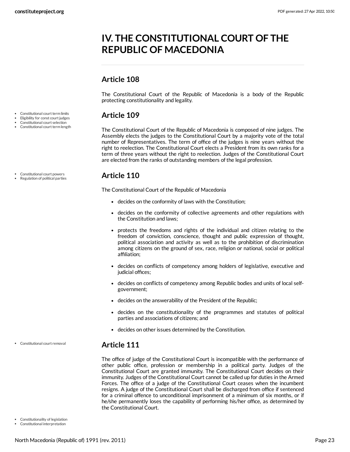## <span id="page-22-0"></span>**IV. THE CONSTITUTIONAL COURT OF THE REPUBLIC OF MACEDONIA**

### <span id="page-22-1"></span>**Article 108**

The Constitutional Court of the Republic of Macedonia is a body of the Republic protecting constitutionality and legality.

### <span id="page-22-2"></span>**Article 109**

The Constitutional Court of the Republic of Macedonia is composed of nine judges. The Assembly elects the judges to the Constitutional Court by a majority vote of the total number of Representatives. The term of office of the judges is nine years without the right to reelection. The Constitutional Court elects a President from its own ranks for a term of three years without the right to reelection. Judges of the Constitutional Court are elected from the ranks of outstanding members of the legal profession.

### <span id="page-22-3"></span>**Article 110**

The Constitutional Court of the Republic of Macedonia

- decides on the conformity of laws with the Constitution;
- decides on the conformity of collective agreements and other regulations with the Constitution and laws;
- protects the freedoms and rights of the individual and citizen relating to the freedom of conviction, conscience, thought and public expression of thought, political association and activity as well as to the prohibition of discrimination among citizens on the ground of sex, race, religion or national, social or political affiliation;
- decides on conflicts of competency among holders of legislative, executive and judicial offices;
- decides on conflicts of competency among Republic bodies and units of local selfgovernment;
- decides on the answerability of the President of the Republic;
- decides on the constitutionality of the programmes and statutes of political parties and associations of citizens; and
- decides on other issues determined by the Constitution.

### <span id="page-22-4"></span>**Article 111**

<span id="page-22-5"></span>The office of judge of the Constitutional Court is incompatible with the performance of other public office, profession or membership in a political party. Judges of the Constitutional Court are granted immunity. The Constitutional Court decides on their immunity. Judges of the Constitutional Court cannot be called up for duties in the Armed Forces. The office of a judge of the Constitutional Court ceases when the incumbent resigns. A judge of the Constitutional Court shall be discharged from office if sentenced for a criminal offence to unconditional imprisonment of a minimum of six months, or if he/she permanently loses the capability of performing his/her office, as determined by the Constitutional Court.

- Constitutional court term limits
- Fligibility for const court judges Constitutional court selection
- Constitutional court term length
- Constitutional court powers
- Regulation of political parties

Constitutional court removal

<sup>•</sup> Constitutionality of legislation

Constitutional interpretation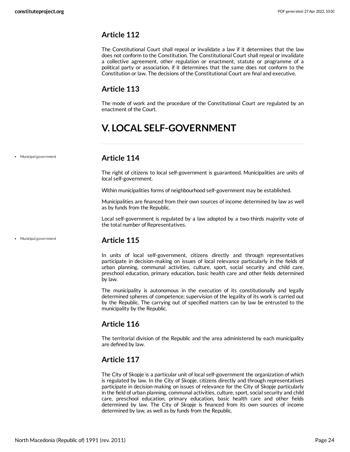### <span id="page-23-0"></span>**Article 112**

The Constitutional Court shall repeal or invalidate a law if it determines that the law does not conform to the Constitution. The Constitutional Court shall repeal or invalidate a collective agreement, other regulation or enactment, statute or programme of a political party or association, if it determines that the same does not conform to the Constitution or law. The decisions of the Constitutional Court are final and executive.

## <span id="page-23-1"></span>**Article 113**

The mode of work and the procedure of the Constitutional Court are regulated by an enactment of the Court.

## <span id="page-23-2"></span>**V. LOCAL SELF-GOVERNMENT**

Municipal government

### <span id="page-23-3"></span>**Article 114**

The right of citizens to local self-government is guaranteed. Municipalities are units of local self-government.

Within municipalities forms of neighbourhood self-government may be established.

Municipalities are financed from their own sources of income determined by law as well as by funds from the Republic.

Local self-government is regulated by a law adopted by a two-thirds majority vote of the total number of Representatives.

Municipal government

## <span id="page-23-4"></span>**Article 115**

In units of local self-government, citizens directly and through representatives participate in decision-making on issues of local relevance particularly in the fields of urban planning, communal activities, culture, sport, social security and child care, preschool education, primary education, basic health care and other fields determined by law.

The municipality is autonomous in the execution of its constitutionally and legally determined spheres of competence; supervision of the legality of its work is carried out by the Republic. The carrying out of specified matters can by law be entrusted to the municipality by the Republic.

## <span id="page-23-5"></span>**Article 116**

The territorial division of the Republic and the area administered by each municipality are defined by law.

## <span id="page-23-6"></span>**Article 117**

The City of Skopje is a particular unit of local self-government the organization of which is regulated by law. In the City of Skopje, citizens directly and through representatives participate in decision-making on issues of relevance for the City of Skopje particularly in the field of urban planning, communal activities, culture, sport, social security and child care, preschool education, primary education, basic health care and other fields determined by law. The City of Skopje is financed from its own sources of income determined by law, as well as by funds from the Republic.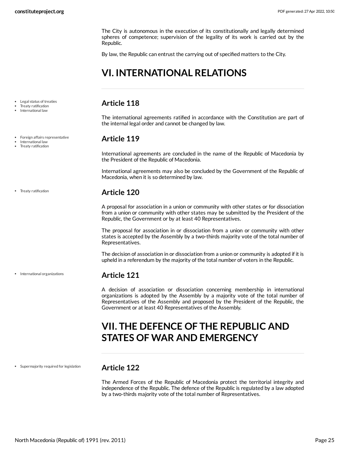Legal status of treaties Treaty ratification International law

Foreign affairs representative International law Treaty ratification

• Treaty ratification

• International organizations

The City is autonomous in the execution of its constitutionally and legally determined spheres of competence; supervision of the legality of its work is carried out by the Republic.

By law, the Republic can entrust the carrying out of specified matters to the City.

## <span id="page-24-0"></span>**VI. INTERNATIONAL RELATIONS**

### <span id="page-24-1"></span>**Article 118**

The international agreements ratified in accordance with the Constitution are part of the internal legal order and cannot be changed by law.

### <span id="page-24-2"></span>**Article 119**

International agreements are concluded in the name of the Republic of Macedonia by the President of the Republic of Macedonia.

International agreements may also be concluded by the Government of the Republic of Macedonia, when it is so determined by law.

### <span id="page-24-3"></span>**Article 120**

A proposal for association in a union or community with other states or for dissociation from a union or community with other states may be submitted by the President of the Republic, the Government or by at least 40 Representatives.

The proposal for association in or dissociation from a union or community with other states is accepted by the Assembly by a two-thirds majority vote of the total number of Representatives.

The decision of association in or dissociation from a union or community is adopted if it is upheld in a referendum by the majority of the total number of voters in the Republic.

### <span id="page-24-4"></span>**Article 121**

A decision of association or dissociation concerning membership in international organizations is adopted by the Assembly by a majority vote of the total number of Representatives of the Assembly and proposed by the President of the Republic, the Government or at least 40 Representatives of the Assembly.

## <span id="page-24-5"></span>**VII. THE DEFENCE OF THE REPUBLIC AND STATES OF WAR AND EMERGENCY**

Supermajority required for legislation

### <span id="page-24-6"></span>**Article 122**

The Armed Forces of the Republic of Macedonia protect the territorial integrity and independence of the Republic. The defence of the Republic is regulated by a law adopted by a two-thirds majority vote of the total number of Representatives.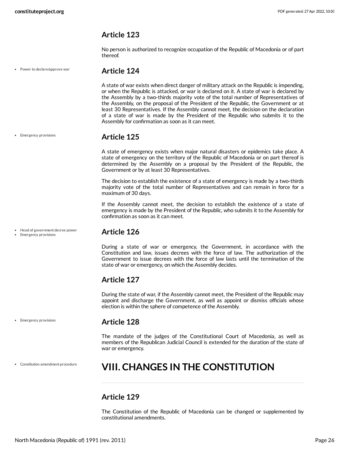Power to declare/approve war

**Emergency provisions** 

### <span id="page-25-0"></span>**Article 123**

No person is authorized to recognize occupation of the Republic of Macedonia or of part thereof.

#### **Article 124**

<span id="page-25-1"></span>A state of war exists when direct danger of military attack on the Republic is impending, or when the Republic is attacked, or war is declared on it. A state of war is declared by the Assembly by a two-thirds majority vote of the total number of Representatives of the Assembly, on the proposal of the President of the Republic, the Government or at least 30 Representatives. If the Assembly cannot meet, the decision on the declaration of a state of war is made by the President of the Republic who submits it to the Assembly for confirmation as soon as it can meet.

### <span id="page-25-2"></span>**Article 125**

A state of emergency exists when major natural disasters or epidemics take place. A state of emergency on the territory of the Republic of Macedonia or on part thereof is determined by the Assembly on a proposal by the President of the Republic, the Government or by at least 30 Representatives.

The decision to establish the existence of a state of emergency is made by a two-thirds majority vote of the total number of Representatives and can remain in force for a maximum of 30 days.

If the Assembly cannot meet, the decision to establish the existence of a state of emergency is made by the President of the Republic, who submits it to the Assembly for confirmation as soon as it can meet.

Head of government decree power Emergency provisions

### <span id="page-25-3"></span>**Article 126**

During a state of war or emergency, the Government, in accordance with the Constitution and law, issues decrees with the force of law. The authorization of the Government to issue decrees with the force of law lasts until the termination of the state of war or emergency, on which the Assembly decides.

### <span id="page-25-4"></span>**Article 127**

During the state of war, if the Assembly cannot meet, the President of the Republic may appoint and discharge the Government, as well as appoint or dismiss officials whose election is within the sphere of competence of the Assembly.

#### **•** Emergency provisions

### <span id="page-25-5"></span>**Article 128**

The mandate of the judges of the Constitutional Court of Macedonia, as well as members of the Republican Judicial Council is extended for the duration of the state of war or emergency.

#### Constitution amendment procedure

## <span id="page-25-6"></span>**VIII. CHANGES IN THE CONSTITUTION**

### <span id="page-25-7"></span>**Article 129**

The Constitution of the Republic of Macedonia can be changed or supplemented by constitutional amendments.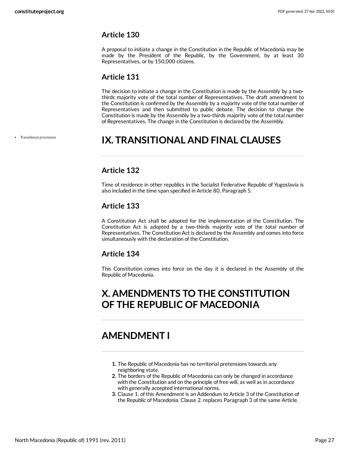## <span id="page-26-0"></span>**Article 130**

A proposal to initiate a change in the Constitution in the Republic of Macedonia may be made by the President of the Republic, by the Government, by at least 30 Representatives, or by 150,000 citizens.

### <span id="page-26-1"></span>**Article 131**

The decision to initiate a change in the Constitution is made by the Assembly by a twothirds majority vote of the total number of Representatives. The draft amendment to the Constitution is confirmed by the Assembly by a majority vote of the total number of Representatives and then submitted to public debate. The decision to change the Constitution is made by the Assembly by a two-thirds majority vote of the total number of Representatives. The change in the Constitution is declared by the Assembly.

Transitional provisions

## <span id="page-26-2"></span>**IX. TRANSITIONAL AND FINAL CLAUSES**

## <span id="page-26-3"></span>**Article 132**

Time of residence in other republics in the Socialist Federative Republic of Yugoslavia is also included in the time span specified in Article 80, Paragraph 5.

## <span id="page-26-4"></span>**Article 133**

A Constitution Act shall be adopted for the implementation of the Constitution. The Constitution Act is adopted by a two-thirds majority vote of the total number of Representatives. The Constitution Act is declared by the Assembly and comes into force simultaneously with the declaration of the Constitution.

## <span id="page-26-5"></span>**Article 134**

This Constitution comes into force on the day it is declared in the Assembly of the Republic of Macedonia.

## <span id="page-26-6"></span>**X. AMENDMENTS TO THE CONSTITUTION OF THE REPUBLIC OF MACEDONIA**

## <span id="page-26-7"></span>**AMENDMENT I**

- **1.** The Republic of Macedonia has no territorial pretensions towards any neighboring state.
- **2.** The borders of the Republic of Macedonia can only be changed in accordance with the Constitution and on the principle of free will, as well as in accordance with generally accepted international norms.
- **3.** Clause 1. of this Amendment is an Addendum to Article 3 of the Constitution of the Republic of Macedonia. Clause 2. replaces Paragraph 3 of the same Article.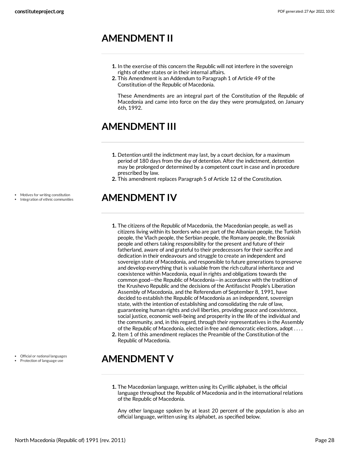## <span id="page-27-0"></span>**AMENDMENT II**

- **1.** In the exercise of this concern the Republic will not interfere in the sovereign rights of other states or in their internal affairs.
- **2.** This Amendment is an Addendum to Paragraph 1 of Article 49 of the Constitution of the Republic of Macedonia.

These Amendments are an integral part of the Constitution of the Republic of Macedonia and came into force on the day they were promulgated, on January 6th, 1992.

## <span id="page-27-1"></span>**AMENDMENT III**

- **1.** Detention until the indictment may last, by a court decision, for a maximum period of 180 days from the day of detention. After the indictment, detention may be prolonged or determined by a competent court in case and in procedure prescribed by law.
- **2.** This amendment replaces Paragraph 5 of Article 12 of the Constitution.

## <span id="page-27-2"></span>**AMENDMENT IV**

- **1.** The citizens of the Republic of Macedonia, the Macedonian people, as well as citizens living within its borders who are part of the Albanian people, the Turkish people, the Vlach people, the Serbian people, the Romany people, the Bosniak people and others taking responsibility for the present and future of their fatherland, aware of and grateful to their predecessors for their sacrifice and dedication in their endeavours and struggle to create an independent and sovereign state of Macedonia, and responsible to future generations to preserve and develop everything that is valuable from the rich cultural inheritance and coexistence within Macedonia, equal in rights and obligations towards the common good—the Republic of Macedonia—in accordance with the tradition of the Krushevo Republic and the decisions of the Antifascist People's Liberation Assembly of Macedonia, and the Referendum of September 8, 1991, have decided to establish the Republic of Macedonia as an independent, sovereign state, with the intention of establishing and consolidating the rule of law, guaranteeing human rights and civil liberties, providing peace and coexistence, social justice, economic well-being and prosperity in the life of the individual and the community, and, in this regard, through their representatives in the Assembly of the Republic of Macedonia, elected in free and democratic elections, adopt . . . .
- **2.** Item 1 of this amendment replaces the Preamble of the Constitution of the Republic of Macedonia.

Official or national languages Protection of language use

## <span id="page-27-3"></span>**AMENDMENT V**

**1.** The Macedonian language, written using its Cyrillic alphabet, is the official language throughout the Republic of Macedonia and in the international relations of the Republic of Macedonia.

Any other language spoken by at least 20 percent of the population is also an official language, written using its alphabet, as specified below.

Motives for writing constitution Integration of ethnic communities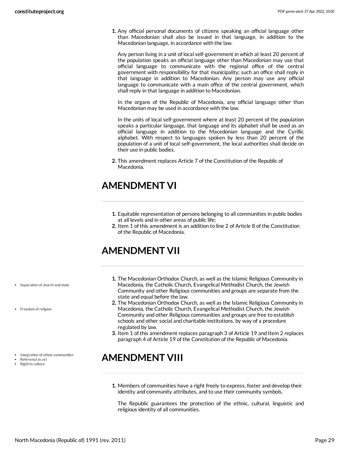**1.** Any official personal documents of citizens speaking an official language other than Macedonian shall also be issued in that language, in addition to the Macedonian language, in accordance with the law.

Any person living in a unit of local self-government in which at least 20 percent of the population speaks an official language other than Macedonian may use that official language to communicate with the regional office of the central government with responsibility for that municipality; such an office shall reply in that language in addition to Macedonian. Any person may use any official language to communicate with a main office of the central government, which shall reply in that language in addition to Macedonian.

In the organs of the Republic of Macedonia, any official language other than Macedonian may be used in accordance with the law.

In the units of local self-government where at least 20 percent of the population speaks a particular language, that language and its alphabet shall be used as an official language in addition to the Macedonian language and the Cyrillic alphabet. With respect to languages spoken by less than 20 percent of the population of a unit of local self-government, the local authorities shall decide on their use in public bodies.

**2.** This amendment replaces Article 7 of the Constitution of the Republic of Macedonia.

## <span id="page-28-0"></span>**AMENDMENT VI**

- **1.** Equitable representation of persons belonging to all communities in public bodies at all levels and in other areas of public life;
- **2.** Item 1 of this amendment is an addition to line 2 of Article 8 of the Constitution of the Republic of Macedonia.

## <span id="page-28-1"></span>**AMENDMENT VII**

- **1.** The Macedonian Orthodox Church, as well as the Islamic Religious Community in Macedonia, the Catholic Church, Evangelical Methodist Church, the Jewish Community and other Religious communities and groups are separate from the state and equal before the law.
- **2.** The Macedonian Orthodox Church, as well as the Islamic Religious Community in Macedonia, the Catholic Church, Evangelical Methodist Church, the Jewish Community and other Religious communities and groups are free to establish schools and other social and charitable institutions, by way of a procedure regulated by law.
- **3.** Item 1 of this amendment replaces paragraph 3 of Article 19 and Item 2 replaces paragraph 4 of Article 19 of the Constitution of the Republic of Macedonia.

## <span id="page-28-2"></span>**AMENDMENT VIII**

**1.** Members of communities have a right freely to express, foster and develop their identity and community attributes, and to use their community symbols.

The Republic guarantees the protection of the ethnic, cultural, linguistic and religious identity of all communities.

- Separation of church and state
- Freedom of religion
- Integration of ethnic communities
- Reference to art Right to culture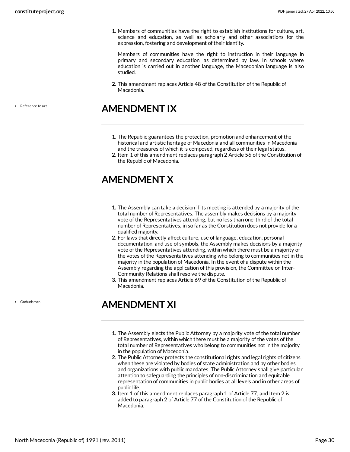Reference to art

**1.** Members of communities have the right to establish institutions for culture, art, science and education, as well as scholarly and other associations for the expression, fostering and development of their identity.

Members of communities have the right to instruction in their language in primary and secondary education, as determined by law. In schools where education is carried out in another language, the Macedonian language is also studied.

**2.** This amendment replaces Article 48 of the Constitution of the Republic of Macedonia.

## <span id="page-29-0"></span>**AMENDMENT IX**

- **1.** The Republic guarantees the protection, promotion and enhancement of the historical and artistic heritage of Macedonia and all communities in Macedonia and the treasures of which it is composed, regardless of their legal status.
- **2.** Item 1 of this amendment replaces paragraph 2 Article 56 of the Constitution of the Republic of Macedonia.

## <span id="page-29-1"></span>**AMENDMENT X**

- **1.** The Assembly can take a decision if its meeting is attended by a majority of the total number of Representatives. The assembly makes decisions by a majority vote of the Representatives attending, but no less than one-third of the total number of Representatives, in so far as the Constitution does not provide for a qualified majority.
- **2.** For laws that directly affect culture, use of language, education, personal documentation, and use of symbols, the Assembly makes decisions by a majority vote of the Representatives attending, within which there must be a majority of the votes of the Representatives attending who belong to communities not in the majority in the population of Macedonia. In the event of a dispute within the Assembly regarding the application of this provision, the Committee on Inter-Community Relations shall resolve the dispute.
- **3.** This amendment replaces Article 69 of the Constitution of the Republic of Macedonia.

## <span id="page-29-2"></span>**AMENDMENT XI**

- **1.** The Assembly elects the Public Attorney by a majority vote of the total number of Representatives, within which there must be a majority of the votes of the total number of Representatives who belong to communities not in the majority in the population of Macedonia.
- **2.** The Public Attorney protects the constitutional rights and legal rights of citizens when these are violated by bodies of state administration and by other bodies and organizations with public mandates. The Public Attorney shall give particular attention to safeguarding the principles of non-discrimination and equitable representation of communities in public bodies at all levels and in other areas of public life.
- **3.** Item 1 of this amendment replaces paragraph 1 of Article 77, and Item 2 is added to paragraph 2 of Article 77 of the Constitution of the Republic of Macedonia.

Ombudsman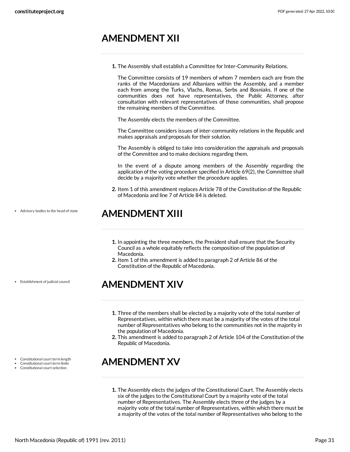## <span id="page-30-0"></span>**AMENDMENT XII**

**1.** The Assembly shall establish a Committee for Inter-Community Relations.

The Committee consists of 19 members of whom 7 members each are from the ranks of the Macedonians and Albanians within the Assembly, and a member each from among the Turks, Vlachs, Romas, Serbs and Bosniaks. If one of the communities does not have representatives, the Public Attorney, after consultation with relevant representatives of those communities, shall propose the remaining members of the Committee.

The Assembly elects the members of the Committee.

The Committee considers issues of inter-community relations in the Republic and makes appraisals and proposals for their solution.

The Assembly is obliged to take into consideration the appraisals and proposals of the Committee and to make decisions regarding them.

In the event of a dispute among members of the Assembly regarding the application of the voting procedure specified in Article 69(2), the Committee shall decide by a majority vote whether the procedure applies.

**2.** Item 1 of this amendment replaces Article 78 of the Constitution of the Republic of Macedonia and line 7 of Article 84 is deleted.

## <span id="page-30-1"></span>**AMENDMENT XIII**

- **1.** In appointing the three members, the President shall ensure that the Security Council as a whole equitably reflects the composition of the population of Macedonia.
- **2.** Item 1 of this amendment is added to paragraph 2 of Article 86 of the Constitution of the Republic of Macedonia.

## <span id="page-30-2"></span>**AMENDMENT XIV**

- **1.** Three of the members shall be elected by a majority vote of the total number of Representatives, within which there must be a majority of the votes of the total number of Representatives who belong to the communities not in the majority in the population of Macedonia.
- **2.** This amendment is added to paragraph 2 of Article 104 of the Constitution of the Republic of Macedonia.

## <span id="page-30-3"></span>**AMENDMENT XV**

**1.** The Assembly elects the judges of the Constitutional Court. The Assembly elects six of the judges to the Constitutional Court by a majority vote of the total number of Representatives. The Assembly elects three of the judges by a majority vote of the total number of Representatives, within which there must be a majority of the votes of the total number of Representatives who belong to the

Establishment of judicial council

Advisory bodies to the head of state

- Constitutional court term length Constitutional court term limits
- Constitutional court selection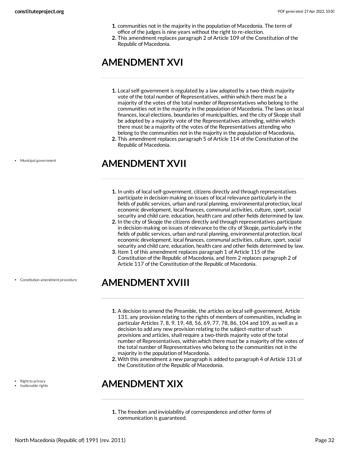- **1.** communities not in the majority in the population of Macedonia. The term of office of the judges is nine years without the right to re-election.
- **2.** This amendment replaces paragraph 2 of Article 109 of the Constitution of the Republic of Macedonia.

## <span id="page-31-0"></span>**AMENDMENT XVI**

- **1.** Local self-government is regulated by a law adopted by a two-thirds majority vote of the total number of Representatives, within which there must be a majority of the votes of the total number of Representatives who belong to the communities not in the majority in the population of Macedonia. The laws on local finances, local elections, boundaries of municipalities, and the city of Skopje shall be adopted by a majority vote of the Representatives attending, within which there must be a majority of the votes of the Representatives attending who belong to the communities not in the majority in the population of Macedonia.
- **2.** This amendment replaces paragraph 5 of Article 114 of the Constitution of the Republic of Macedonia.

## <span id="page-31-1"></span>**AMENDMENT XVII**

- **1.** In units of local self-government, citizens directly and through representatives participate in decision-making on issues of local relevance particularly in the fields of public services, urban and rural planning, environmental protection, local economic development, local finances, communal activities, culture, sport, social security and child care, education, health care and other fields determined by law.
- **2.** In the city of Skopje the citizens directly and through representatives participate in decision-making on issues of relevance to the city of Skopje, particularly in the fields of public services, urban and rural planning, environmental protection, local economic development, local finances, communal activities, culture, sport, social security and child care, education, health care and other fields determined by law.
- **3.** Item 1 of this amendment replaces paragraph 1 of Article 115 of the Constitution of the Republic of Macedonia, and Item 2 replaces paragraph 2 of Article 117 of the Constitution of the Republic of Macedonia.

## <span id="page-31-2"></span>**AMENDMENT XVIII**

- **1.** A decision to amend the Preamble, the articles on local self-government, Article 131, any provision relating to the rights of members of communities, including in particular Articles 7, 8, 9, 19, 48, 56, 69, 77, 78, 86, 104 and 109, as well as a decision to add any new provision relating to the subject-matter of such provisions and articles, shall require a two-thirds majority vote of the total number of Representatives, within which there must be a majority of the votes of the total number of Representatives who belong to the communities not in the majority in the population of Macedonia.
- **2.** With this amendment a new paragraph is added to paragraph 4 of Article 131 of the Constitution of the Republic of Macedonia.

## <span id="page-31-3"></span>**AMENDMENT XIX**

**1.** The freedom and inviolability of correspondence and other forms of communication is guaranteed.

Municipal government

Constitution amendment procedure

Right to privacy Inalienable rights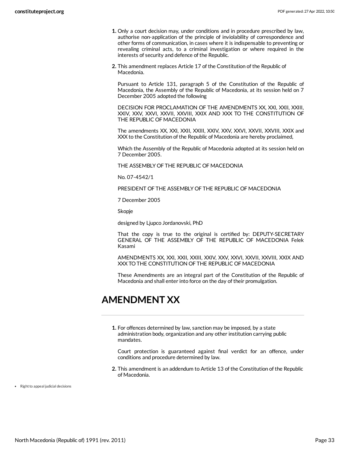- **1.** Only a court decision may, under conditions and in procedure prescribed by law, authorise non-application of the principle of inviolability of correspondence and other forms of communication, in cases where it is indispensable to preventing or revealing criminal acts, to a criminal investigation or where required in the interests of security and defence of the Republic.
- **2.** This amendment replaces Article 17 of the Constitution of the Republic of Macedonia.

Pursuant to Article 131, paragraph 5 of the Constitution of the Republic of Macedonia, the Assembly of the Republic of Macedonia, at its session held on 7 December 2005 adopted the following

DECISION FOR PROCLAMATION OF THE AMENDMENTS XX, XXI, XXII, XXIII, XXIV, XXV, XXVI, XXVII, XXVIII, XXIX AND XXX TO THE CONSTITUTION OF THE REPUBLIC OF MACEDONIA

The amendments XX, XXI, XXII, XXIII, XXIV, XXV, XXVI, XXVII, XXVIII, XXIX and XXX to the Constitution of the Republic of Macedonia are hereby proclaimed,

Which the Assembly of the Republic of Macedonia adopted at its session held on 7 December 2005.

THE ASSEMBLY OF THE REPUBLIC OF MACEDONIA

No. 07-4542/1

PRESIDENT OF THE ASSEMBLY OF THE REPUBLIC OF MACEDONIA

7 December 2005

**Skopje** 

designed by Ljupco Jordanovski, PhD

That the copy is true to the original is certified by: DEPUTY-SECRETARY GENERAL OF THE ASSEMBLY OF THE REPUBLIC OF MACEDONIA Felek Kasami

AMENDMENTS XX, XXI, XXII, XXIII, XXIV, XXV, XXVI, XXVII, XXVIII, XXIX AND XXX TO THE CONSTITUTION OF THE REPUBLIC OF MACEDONIA

These Amendments are an integral part of the Constitution of the Republic of Macedonia and shall enter into force on the day of their promulgation.

## <span id="page-32-0"></span>**AMENDMENT XX**

**1.** For offences determined by law, sanction may be imposed, by a state administration body, organization and any other institution carrying public mandates.

Court protection is guaranteed against final verdict for an offence, under conditions and procedure determined by law.

<span id="page-32-1"></span>**2.** This amendment is an addendum to Article 13 of the Constitution of the Republic of Macedonia.

• Right to appeal judicial decisions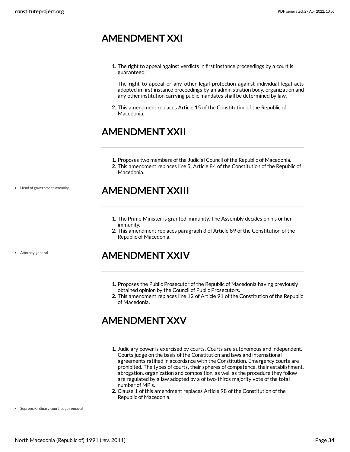## <span id="page-33-0"></span>**AMENDMENT XXI**

**1.** The right to appeal against verdicts in first instance proceedings by a court is guaranteed.

The right to appeal or any other legal protection against individual legal acts adopted in first instance proceedings by an administration body, organization and any other institution carrying public mandates shall be determined by law.

**2.** This amendment replaces Article 15 of the Constitution of the Republic of Macedonia.

## <span id="page-33-1"></span>**AMENDMENT XXII**

- **1.** Proposes two members of the Judicial Council of the Republic of Macedonia.
- **2.** This amendment replaces line 5, Article 84 of the Constitution of the Republic of Macedonia.

• Head of government immunity

Attorney general

## <span id="page-33-2"></span>**AMENDMENT XXIII**

- **1.** The Prime Minister is granted immunity. The Assembly decides on his or her immunity.
- **2.** This amendment replaces paragraph 3 of Article 89 of the Constitution of the Republic of Macedonia.

## <span id="page-33-3"></span>**AMENDMENT XXIV**

- **1.** Proposes the Public Prosecutor of the Republic of Macedonia having previously obtained opinion by the Council of Public Prosecutors.
- **2.** This amendment replaces line 12 of Article 91 of the Constitution of the Republic of Macedonia.

## <span id="page-33-4"></span>**AMENDMENT XXV**

- **1.** Judiciary power is exercised by courts. Courts are autonomous and independent. Courts judge on the basis of the Constitution and laws and international agreements ratified in accordance with the Constitution. Emergency courts are prohibited. The types of courts, their spheres of competence, their establishment, abrogation, organization and composition, as well as the procedure they follow are regulated by a law adopted by a of two-thirds majority vote of the total number of MP's.
- <span id="page-33-5"></span>**2.** Clause 1 of this amendment replaces Article 98 of the Constitution of the Republic of Macedonia.

• Supreme/ordinary court judge removal

North Macedonia (Republic of) 1991 (rev. 2011) Page 34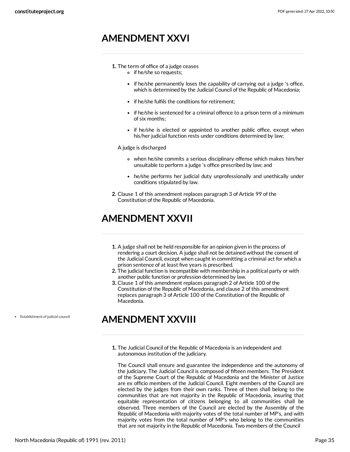## <span id="page-34-0"></span>**AMENDMENT XXVI**

- **1.** The term of office of a judge ceases if he/she so requests;
	- if he/she permanently loses the capability of carrying out a judge 's office, which is determined by the Judicial Council of the Republic of Macedonia;
	- if he/she fulfils the conditions for retirement;
	- if he/she is sentenced for a criminal offence to a prison term of a minimum of six months;
	- if he/she is elected or appointed to another public office, except when his/her judicial function rests under conditions determined by law;

A judge is discharged

- when he/she commits a serious disciplinary offense which makes him/her unsuitable to perform a judge 's office prescribed by law; and
- he/she performs her judicial duty unprofessionally and unethically under conditions stipulated by law.
- **2.** Clause 1 of this amendment replaces paragraph 3 of Article 99 of the Constitution of the Republic of Macedonia.

## <span id="page-34-1"></span>**AMENDMENT XXVII**

- **1.** A judge shall not be held responsible for an opinion given in the process of rendering a court decision. A judge shall not be detained without the consent of the Judicial Council, except when caught in committing a criminal act for which a prison sentence of at least five years is prescribed.
- **2.** The judicial function is incompatible with membership in a political party or with another public function or profession determined by law.
- **3.** Clause 1 of this amendment replaces paragraph 2 of Article 100 of the Constitution of the Republic of Macedonia, and clause 2 of this amendment replaces paragraph 3 of Article 100 of the Constitution of the Republic of Macedonia.

## <span id="page-34-2"></span>**AMENDMENT XXVIII**

**1.** The Judicial Council of the Republic of Macedonia is an independent and autonomous institution of the judiciary.

The Council shall ensure and guarantee the independence and the autonomy of the judiciary. The Judicial Council is composed of fifteen members. The President of the Supreme Court of the Republic of Macedonia and the Minister of Justice are ex officio members of the Judicial Council. Eight members of the Council are elected by the judges from their own ranks. Three of them shall belong to the communities that are not majority in the Republic of Macedonia, insuring that equitable representation of citizens belonging to all communities shall be observed. Three members of the Council are elected by the Assembly of the Republic of Macedonia with majority votes of the total number of MP's, and with majority votes from the total number of MP's who belong to the communities that are not majority in the Republic of Macedonia. Two members of the Council

Establishment of judicial council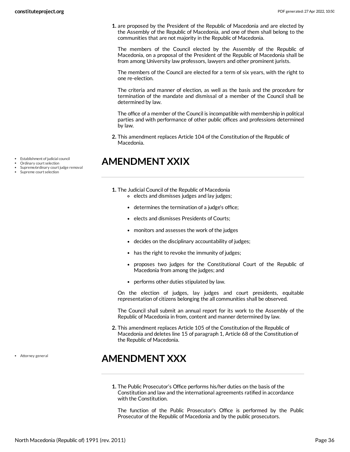Establishment of judicial council Ordinary court selection

• Supreme court selection

Supreme/ordinary court judge removal

**1.** are proposed by the President of the Republic of Macedonia and are elected by the Assembly of the Republic of Macedonia, and one of them shall belong to the communities that are not majority in the Republic of Macedonia.

The members of the Council elected by the Assembly of the Republic of Macedonia, on a proposal of the President of the Republic of Macedonia shall be from among University law professors, lawyers and other prominent jurists.

The members of the Council are elected for a term of six years, with the right to one re-election.

The criteria and manner of election, as well as the basis and the procedure for termination of the mandate and dismissal of a member of the Council shall be determined by law.

The office of a member of the Council is incompatible with membership in political parties and with performance of other public offices and professions determined by law.

**2.** This amendment replaces Article 104 of the Constitution of the Republic of Macedonia.

## <span id="page-35-0"></span>**AMENDMENT XXIX**

- **1.** The Judicial Council of the Republic of Macedonia elects and dismisses judges and lay judges;
	- determines the termination of a judge's office;
	- elects and dismisses Presidents of Courts:
	- monitors and assesses the work of the judges
	- decides on the disciplinary accountability of judges;
	- has the right to revoke the immunity of judges;
	- proposes two judges for the Constitutional Court of the Republic of Macedonia from among the judges; and
	- performs other duties stipulated by law.

On the election of judges, lay judges and court presidents, equitable representation of citizens belonging the all communities shall be observed.

The Council shall submit an annual report for its work to the Assembly of the Republic of Macedonia in from, content and manner determined by law.

**2.** This amendment replaces Article 105 of the Constitution of the Republic of Macedonia and deletes line 15 of paragraph 1, Article 68 of the Constitution of the Republic of Macedonia.

Attorney general

## <span id="page-35-1"></span>**AMENDMENT XXX**

**1.** The Public Prosecutor's Office performs his/her duties on the basis of the Constitution and law and the international agreements ratified in accordance with the Constitution.

The function of the Public Prosecutor's Office is performed by the Public Prosecutor of the Republic of Macedonia and by the public prosecutors.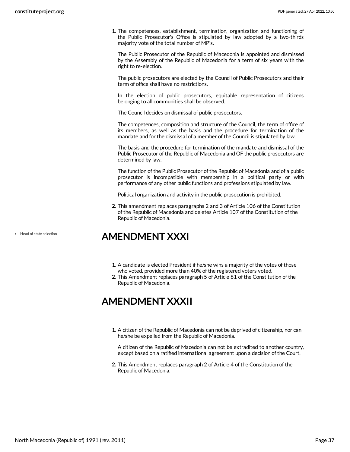**1.** The competences, establishment, termination, organization and functioning of the Public Prosecutor's Office is stipulated by law adopted by a two-thirds majority vote of the total number of MP's.

The Public Prosecutor of the Republic of Macedonia is appointed and dismissed by the Assembly of the Republic of Macedonia for a term of six years with the right to re-election.

The public prosecutors are elected by the Council of Public Prosecutors and their term of office shall have no restrictions.

In the election of public prosecutors, equitable representation of citizens belonging to all communities shall be observed.

The Council decides on dismissal of public prosecutors.

The competences, composition and structure of the Council, the term of office of its members, as well as the basis and the procedure for termination of the mandate and for the dismissal of a member of the Council is stipulated by law.

The basis and the procedure for termination of the mandate and dismissal of the Public Prosecutor of the Republic of Macedonia and OF the public prosecutors are determined by law.

The function of the Public Prosecutor of the Republic of Macedonia and of a public prosecutor is incompatible with membership in a political party or with performance of any other public functions and professions stipulated by law.

Political organization and activity in the public prosecution is prohibited.

**2.** This amendment replaces paragraphs 2 and 3 of Article 106 of the Constitution of the Republic of Macedonia and deletes Article 107 of the Constitution of the Republic of Macedonia.

## <span id="page-36-0"></span>**AMENDMENT XXXI**

- **1.** A candidate is elected President if he/she wins a majority of the votes of those who voted, provided more than 40% of the registered voters voted.
- **2.** This Amendment replaces paragraph 5 of Article 81 of the Constitution of the Republic of Macedonia.

## <span id="page-36-1"></span>**AMENDMENT XXXII**

**1.** A citizen of the Republic of Macedonia can not be deprived of citizenship, nor can he/she be expelled from the Republic of Macedonia.

A citizen of the Republic of Macedonia can not be extradited to another country, except based on a ratified international agreement upon a decision of the Court.

**2.** This Amendment replaces paragraph 2 of Article 4 of the Constitution of the Republic of Macedonia.

• Head of state selection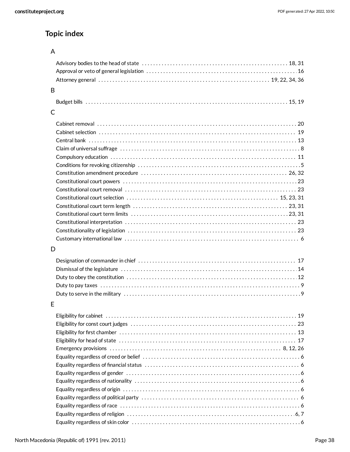## **Topic index**

## A

| B |  |
|---|--|
|   |  |
|   |  |
| С |  |
|   |  |
|   |  |
|   |  |
|   |  |
|   |  |
|   |  |
|   |  |
|   |  |
|   |  |
|   |  |
|   |  |
|   |  |
|   |  |
|   |  |
| D |  |
|   |  |
|   |  |
|   |  |
|   |  |
|   |  |
| Е |  |
|   |  |
|   |  |
|   |  |
|   |  |
|   |  |
|   |  |
|   |  |
|   |  |
|   |  |
|   |  |
|   |  |
|   |  |
|   |  |
|   |  |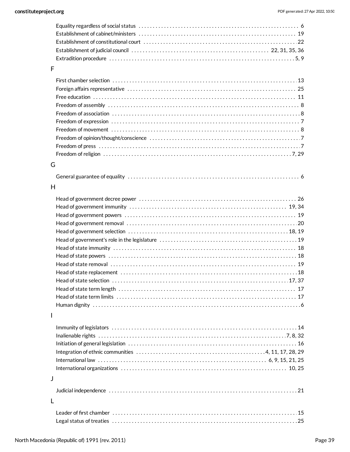### F

### G

|--|

#### H

#### I

| $\mathsf{L}$ |  |
|--------------|--|
|              |  |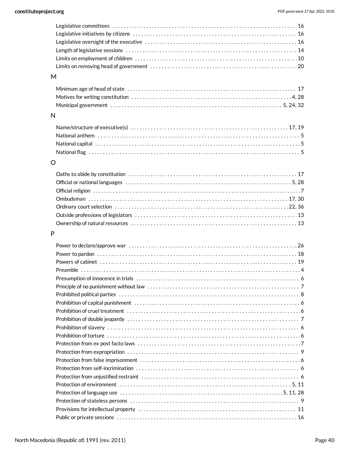### M

### N

### O

### P